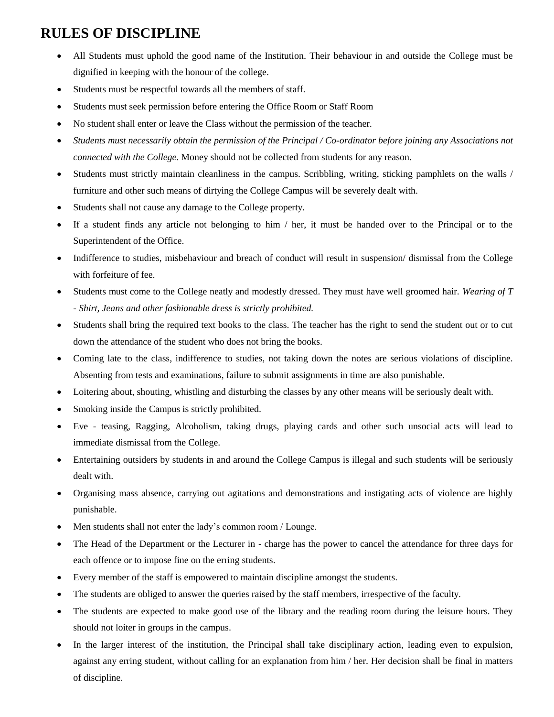## **RULES OF DISCIPLINE**

- All Students must uphold the good name of the Institution. Their behaviour in and outside the College must be dignified in keeping with the honour of the college.
- Students must be respectful towards all the members of staff.
- Students must seek permission before entering the Office Room or Staff Room
- No student shall enter or leave the Class without the permission of the teacher.
- *Students must necessarily obtain the permission of the Principal / Co-ordinator before joining any Associations not connected with the College.* Money should not be collected from students for any reason.
- Students must strictly maintain cleanliness in the campus. Scribbling, writing, sticking pamphlets on the walls / furniture and other such means of dirtying the College Campus will be severely dealt with.
- Students shall not cause any damage to the College property.
- If a student finds any article not belonging to him / her, it must be handed over to the Principal or to the Superintendent of the Office.
- Indifference to studies, misbehaviour and breach of conduct will result in suspension/ dismissal from the College with forfeiture of fee.
- Students must come to the College neatly and modestly dressed. They must have well groomed hair. *Wearing of T - Shirt, Jeans and other fashionable dress is strictly prohibited.*
- Students shall bring the required text books to the class. The teacher has the right to send the student out or to cut down the attendance of the student who does not bring the books.
- Coming late to the class, indifference to studies, not taking down the notes are serious violations of discipline. Absenting from tests and examinations, failure to submit assignments in time are also punishable.
- Loitering about, shouting, whistling and disturbing the classes by any other means will be seriously dealt with.
- Smoking inside the Campus is strictly prohibited.
- Eve teasing, Ragging, Alcoholism, taking drugs, playing cards and other such unsocial acts will lead to immediate dismissal from the College.
- Entertaining outsiders by students in and around the College Campus is illegal and such students will be seriously dealt with.
- Organising mass absence, carrying out agitations and demonstrations and instigating acts of violence are highly punishable.
- Men students shall not enter the lady's common room / Lounge.
- The Head of the Department or the Lecturer in charge has the power to cancel the attendance for three days for each offence or to impose fine on the erring students.
- Every member of the staff is empowered to maintain discipline amongst the students.
- The students are obliged to answer the queries raised by the staff members, irrespective of the faculty.
- The students are expected to make good use of the library and the reading room during the leisure hours. They should not loiter in groups in the campus.
- In the larger interest of the institution, the Principal shall take disciplinary action, leading even to expulsion, against any erring student, without calling for an explanation from him / her. Her decision shall be final in matters of discipline.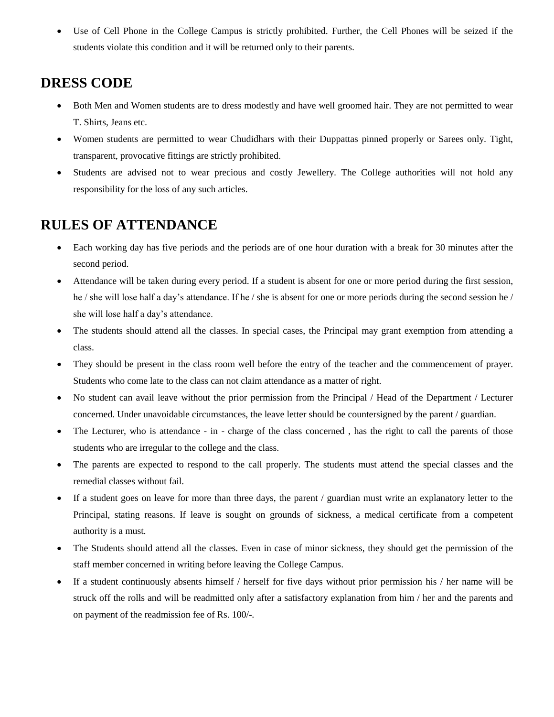• Use of Cell Phone in the College Campus is strictly prohibited. Further, the Cell Phones will be seized if the students violate this condition and it will be returned only to their parents.

## **DRESS CODE**

- Both Men and Women students are to dress modestly and have well groomed hair. They are not permitted to wear T. Shirts, Jeans etc.
- Women students are permitted to wear Chudidhars with their Duppattas pinned properly or Sarees only. Tight, transparent, provocative fittings are strictly prohibited.
- Students are advised not to wear precious and costly Jewellery. The College authorities will not hold any responsibility for the loss of any such articles.

## **RULES OF ATTENDANCE**

- Each working day has five periods and the periods are of one hour duration with a break for 30 minutes after the second period.
- Attendance will be taken during every period. If a student is absent for one or more period during the first session, he / she will lose half a day's attendance. If he / she is absent for one or more periods during the second session he / she will lose half a day's attendance.
- The students should attend all the classes. In special cases, the Principal may grant exemption from attending a class.
- They should be present in the class room well before the entry of the teacher and the commencement of prayer. Students who come late to the class can not claim attendance as a matter of right.
- No student can avail leave without the prior permission from the Principal / Head of the Department / Lecturer concerned. Under unavoidable circumstances, the leave letter should be countersigned by the parent / guardian.
- The Lecturer, who is attendance in charge of the class concerned, has the right to call the parents of those students who are irregular to the college and the class.
- The parents are expected to respond to the call properly. The students must attend the special classes and the remedial classes without fail.
- If a student goes on leave for more than three days, the parent / guardian must write an explanatory letter to the Principal, stating reasons. If leave is sought on grounds of sickness, a medical certificate from a competent authority is a must.
- The Students should attend all the classes. Even in case of minor sickness, they should get the permission of the staff member concerned in writing before leaving the College Campus.
- If a student continuously absents himself / herself for five days without prior permission his / her name will be struck off the rolls and will be readmitted only after a satisfactory explanation from him / her and the parents and on payment of the readmission fee of Rs. 100/-.